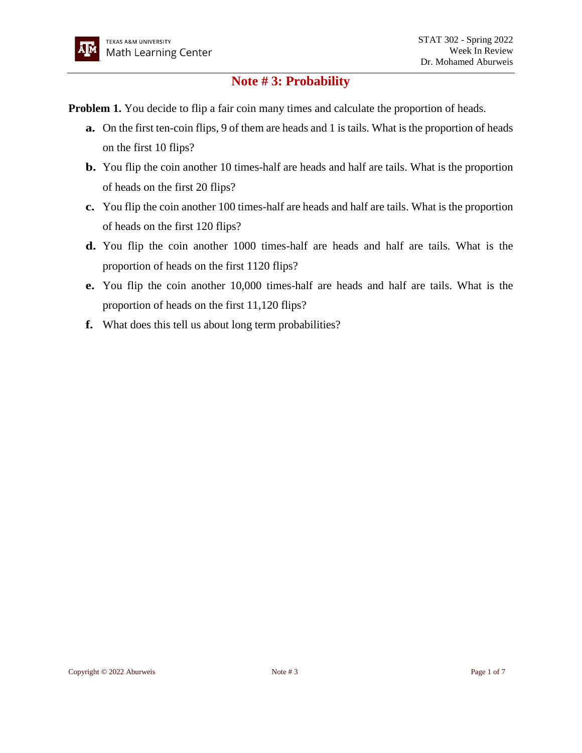## **Note # 3: Probability**

**Problem 1.** You decide to flip a fair coin many times and calculate the proportion of heads.

- **a.** On the first ten-coin flips, 9 of them are heads and 1 is tails. What is the proportion of heads on the first 10 flips?
- **b.** You flip the coin another 10 times-half are heads and half are tails. What is the proportion of heads on the first 20 flips?
- **c.** You flip the coin another 100 times-half are heads and half are tails. What is the proportion of heads on the first 120 flips?
- **d.** You flip the coin another 1000 times-half are heads and half are tails. What is the proportion of heads on the first 1120 flips?
- **e.** You flip the coin another 10,000 times-half are heads and half are tails. What is the proportion of heads on the first 11,120 flips?
- **f.** What does this tell us about long term probabilities?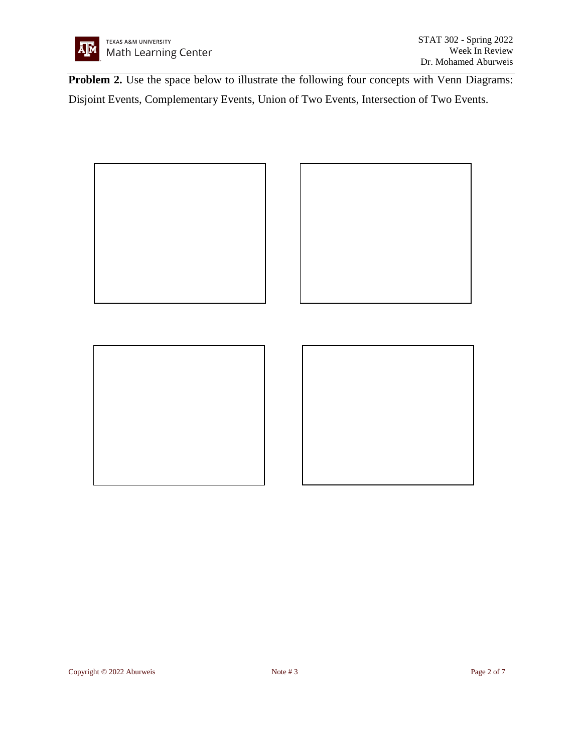

**Problem 2.** Use the space below to illustrate the following four concepts with Venn Diagrams: Disjoint Events, Complementary Events, Union of Two Events, Intersection of Two Events.

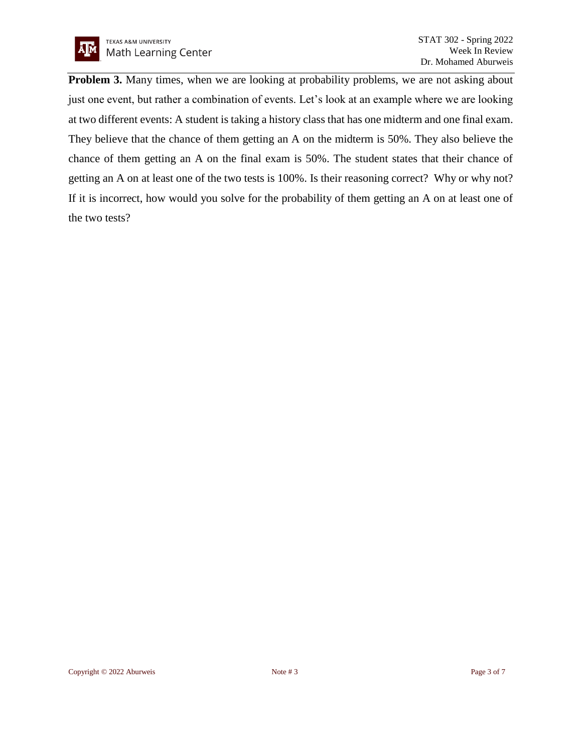

**Problem 3.** Many times, when we are looking at probability problems, we are not asking about just one event, but rather a combination of events. Let's look at an example where we are looking at two different events: A student is taking a history class that has one midterm and one final exam. They believe that the chance of them getting an A on the midterm is 50%. They also believe the chance of them getting an A on the final exam is 50%. The student states that their chance of getting an A on at least one of the two tests is 100%. Is their reasoning correct? Why or why not? If it is incorrect, how would you solve for the probability of them getting an A on at least one of the two tests?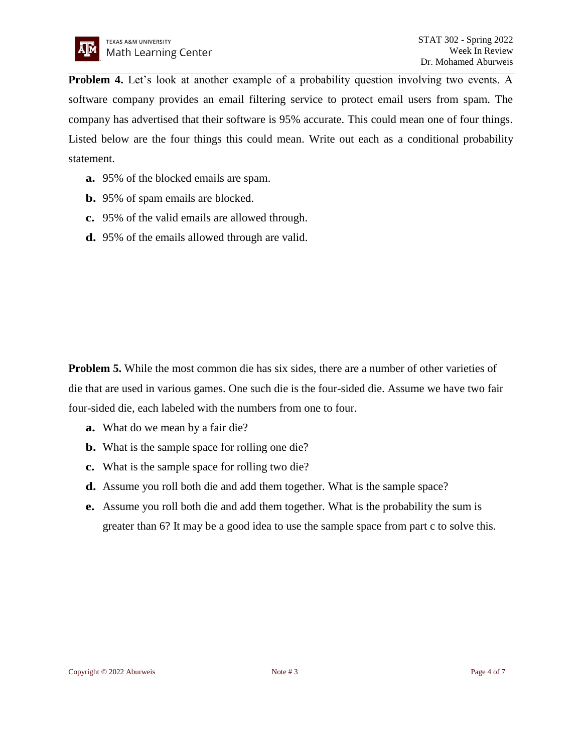**Problem 4.** Let's look at another example of a probability question involving two events. A software company provides an email filtering service to protect email users from spam. The company has advertised that their software is 95% accurate. This could mean one of four things. Listed below are the four things this could mean. Write out each as a conditional probability statement.

- **a.** 95% of the blocked emails are spam.
- **b.** 95% of spam emails are blocked.
- **c.** 95% of the valid emails are allowed through.
- **d.** 95% of the emails allowed through are valid.

**Problem 5.** While the most common die has six sides, there are a number of other varieties of die that are used in various games. One such die is the four-sided die. Assume we have two fair four-sided die, each labeled with the numbers from one to four.

- **a.** What do we mean by a fair die?
- **b.** What is the sample space for rolling one die?
- **c.** What is the sample space for rolling two die?
- **d.** Assume you roll both die and add them together. What is the sample space?
- **e.** Assume you roll both die and add them together. What is the probability the sum is greater than 6? It may be a good idea to use the sample space from part c to solve this.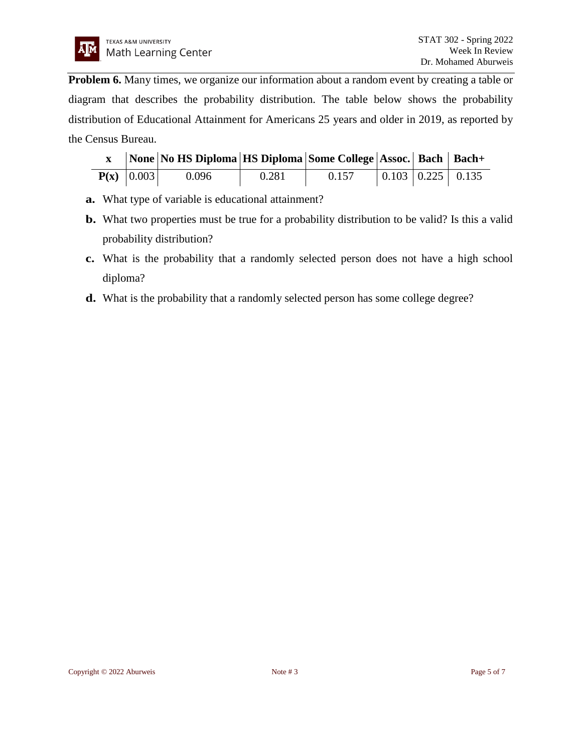

**Problem 6.** Many times, we organize our information about a random event by creating a table or diagram that describes the probability distribution. The table below shows the probability distribution of Educational Attainment for Americans 25 years and older in 2019, as reported by the Census Bureau.

|              | None   No HS Diploma   HS Diploma   Some College   Assoc.   Bach   Bach + |       |       |  |                                             |
|--------------|---------------------------------------------------------------------------|-------|-------|--|---------------------------------------------|
| P(x)   0.003 | 0.096                                                                     | 0.281 | 0.157 |  | $\vert 0.103 \vert 0.225 \vert 0.135 \vert$ |

- **a.** What type of variable is educational attainment?
- **b.** What two properties must be true for a probability distribution to be valid? Is this a valid probability distribution?
- **c.** What is the probability that a randomly selected person does not have a high school diploma?
- **d.** What is the probability that a randomly selected person has some college degree?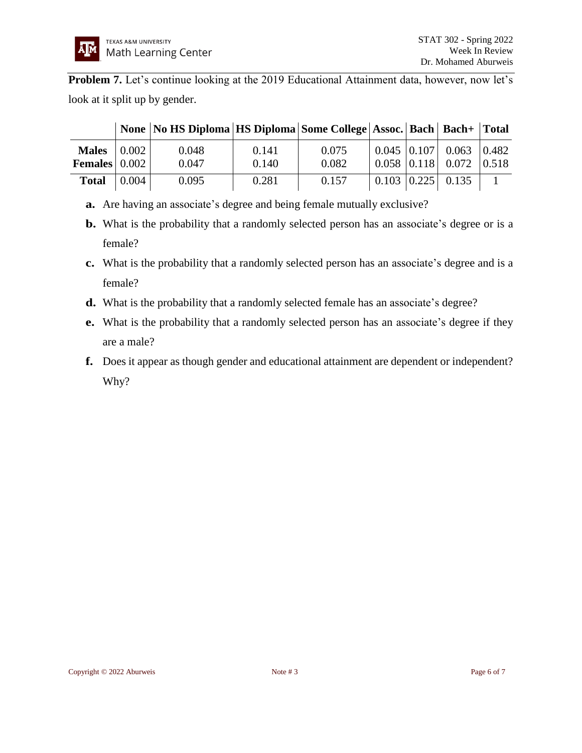**Problem 7.** Let's continue looking at the 2019 Educational Attainment data, however, now let's look at it split up by gender.

|                                             |       | None   No HS Diploma   HS Diploma   Some College   Assoc.   Bach   Bach +   Total |                |                |                                             |                                                                                                  |       |
|---------------------------------------------|-------|-----------------------------------------------------------------------------------|----------------|----------------|---------------------------------------------|--------------------------------------------------------------------------------------------------|-------|
| <b>Males</b><br>Females $\vert 0.002 \vert$ | 0.002 | 0.048<br>0.047                                                                    | 0.141<br>0.140 | 0.075<br>0.082 |                                             | $\vert 0.045 \vert 0.107 \vert 0.063$<br>$\vert 0.058 \vert 0.118 \vert 0.072 \vert 0.518 \vert$ | 0.482 |
| <b>Total</b>                                | 0.004 | 0.095                                                                             | 0.281          | 0.157          | $\vert 0.103 \vert 0.225 \vert 0.135 \vert$ |                                                                                                  |       |

- **a.** Are having an associate's degree and being female mutually exclusive?
- **b.** What is the probability that a randomly selected person has an associate's degree or is a female?
- **c.** What is the probability that a randomly selected person has an associate's degree and is a female?
- **d.** What is the probability that a randomly selected female has an associate's degree?
- **e.** What is the probability that a randomly selected person has an associate's degree if they are a male?
- **f.** Does it appear as though gender and educational attainment are dependent or independent? Why?